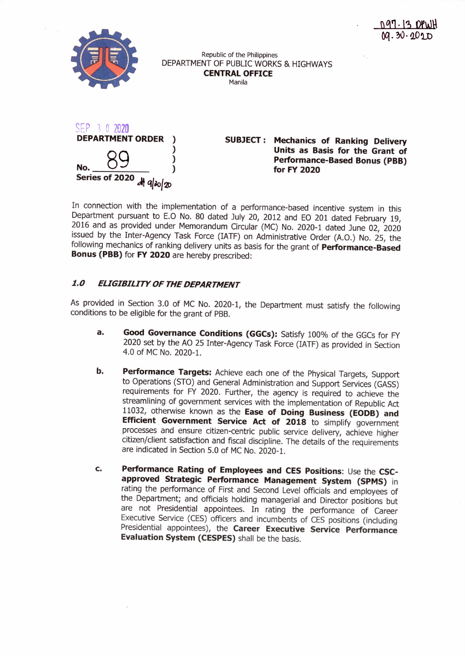

Republic of the Philippines DEPARTMENT OF PUBLIC WORKS & HIGHWAYS **CENTRAL OFFICE**

Manila



**SUBJECT: Mechanics of Ranking Delivery Units as Basis for the Grant of Performance-Based Bonus (PBB) for FY 2020**

In connection with the implementation of a performance-based incentive system in this Department pursuant to E.O No. 80 dated July 20, 2012 and EO 201 dated February 19, 2016 and as provided under Memorandum Circular (MC) No. 2020-1 dated June 02, 2020 issued by the Inter-Agency Task Force (IATF) on Administrative Order (A.O.) No. 25, the following mechanics of ranking delivery units as basis for the grant of **Performance-Based Bonus (PBB)** for **FY 2020** are hereby prescribed:

# *1.0 ELIGIBILITY OF THEDEPARTMENT*

As provided in Section 3.0 of MC No. 2020-1, the Department must satisfy the following conditions to be eligible for the grant of PBB.

- **a. Good Governance Conditions (GGCs):** Satisfy 100% of the GGCs for FY 2020 set by the AO 25 Inter-Agency Task Force (IATF) as provided in Section 4.0 of MC No. 2020-1.
- **b. Performance Targets:** Achieve each one of the Physical Targets, Support to Operations (STO) and General Administration and Support Services (GASS) requirements for FY 2020. Further, the agency is required to achieve the streamlining of government services with the implementation of Republic Act 11032, otherwise known as the **Ease of Doing Business (EODB) and Efficient. Government Service Act of 2018** to simplify government processes and ensure citizen-centric public service delivery, achieve higher citizen/client satisfaction and fiscal discipline. The details of the requirements are indicated in Section 5.0 of MC No. 2020-1.
- **c. Performance Rating of Employees and CES Positions:** Use the **CSCapproved Strategic Performance Management System (SPMS)** in rating the performance of First and Second Level officials and employees of the Department; and officials holding managerial and Director positions but are not Presidential appointees. In rating the performance of Career Executive Service (CES) officers and incumbents of CES positions (including Presidential appointees), the **Career Executive Service Performance Evaluation System (CESPES)** shall be the basis.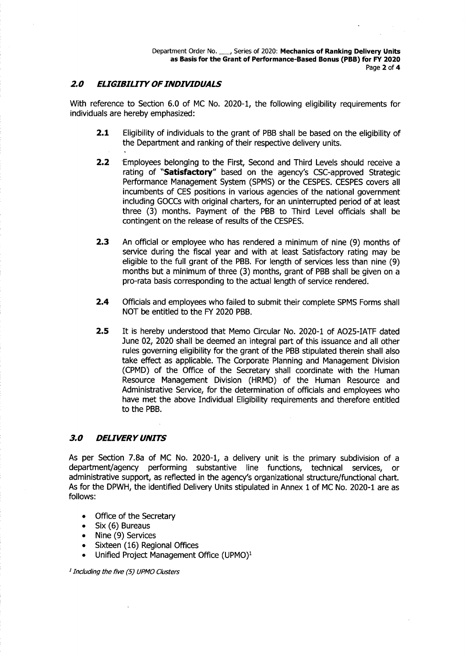## *2.0 ELIGIBILITY OFINDIVIDUALS*

With reference to Section 6.0 of MC No. 2020-1, the following eligibility requirements for individuals are hereby emphasized:

- **2.1** Eligibility of individuals to the grant of PBB shall be based on the eligibility of the Department and ranking of their respective delivery units.
- **2.2** Employees belonging to the First, Second and Third Levels should receive a rating of **"Satisfactory"** based on the agency's CSC-approved Strategic Performance Management System (SPMS) or the CESPES. CESPES covers all incumbents of CES positions in various agencies of the national government including GOCCswith original charters, for an uninterrupted period of at least three (3) months. Payment of the PBB to Third Level officials shall be contingent on the release of results of the CESPES.
- **2.3** An official or employee who has rendered a minimum of nine (9) months of service during the fiscal year and with at least Satisfactory rating may be eligible to the full grant of the PBB. For length of services less than nine (9) months but a minimum of three (3) months, grant of PBB shall be given on a pro-rata basis corresponding to the actual length of service rendered.
- **2.4** Officials and employees who failed to submit their complete SPMS Forms shall NOT be entitled to the FY 2020 PBB.
- **2.5** It is hereby understood that Memo Circular No. 2020-1 of A025-IATF dated June 02, 2020 shall be deemed an integral part of this issuance and all other rules governing eligibility for the grant of the PBB stipulated therein shall also take effect as applicable. The Corporate Planning and Management Division (CPMD) of the Office of the Secretary shall coordinate with the Human Resource Management Division (HRMD) of the Human Resource and Administrative Service, for the determination of officials and employees who have met the above Individual Eligibility requirements and therefore entitled to the PBB.

#### *3.0 DEUVERY UNITS*

As per Section 7.8a of MC No. 2020-1, a delivery unit is the primary subdivision of a department/agency performing substantive line functions, technical services, or administrative support, as reflected in the agency's organizational structure/functional chart. As for the DPWH, the identified Delivery Units stipulated in Annex 1 of MC No. 2020-1 are as follows:

- Office of the Secretary
- Six (6) Bureaus
- Nine (9) Services
- Sixteen (16) Regional Offices
- Unified Project Management Office (UPMO)<sup>1</sup>

*1Including the five* (5) *UPMOClusters*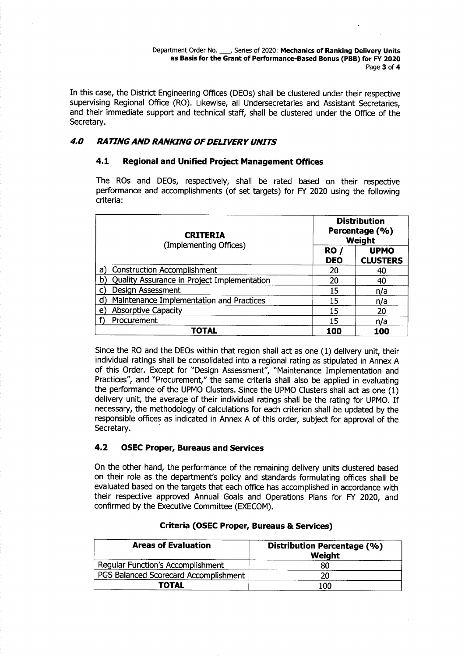Department Order No. \_, Series of 2020: Mechanics of Ranking Delivery Units as Basis for the Grant of Performance-Based Bonus (PBB) for FY 2020 Page 3 of 4

In this case, the District Engineering Offices (DEOs) shall be clustered under their respective supervising Regional Office (RO). Likewise, all Undersecretaries and Assistant Secretaries, and their immediate support and technical staff, shall be clustered under the Office of the Secretary.

## *4.0 RATINGAND RANKING OFDELIVERY UNITS*

#### 4.1 Regional and Unified Project Management Offices

The ROs and DEOs, respectively, shall be rated based on their respective performance and accomplishments (of set targets) for FY 2020 using the following criteria:

| <b>CRITERIA</b><br>(Implementing Offices)         | <b>Distribution</b><br>Percentage (%)<br>Weight |                                |
|---------------------------------------------------|-------------------------------------------------|--------------------------------|
|                                                   | RO /<br><b>DEO</b>                              | <b>UPMO</b><br><b>CLUSTERS</b> |
| <b>Construction Accomplishment</b><br>a)          | 20                                              | 40                             |
| Quality Assurance in Project Implementation<br>b) | 20                                              | 40                             |
| Design Assessment<br>C)                           | 15                                              | n/a                            |
| Maintenance Implementation and Practices<br>ď     | 15                                              | n/a                            |
| <b>Absorptive Capacity</b><br>e)                  | 15                                              | 20                             |
| Procurement                                       | 15                                              | n/a                            |
| TOTAL                                             | 100                                             | 100                            |

Since the RO and the DEOs within that region shall act as one (1) delivery unit, their individual ratings shall be consolidated into a regional rating as stipulated in Annex A of this Order. Except for "Design Assessment", "Maintenance Implementation and Practices", and "Procurement," the same criteria shall also be applied in evaluating the performance of the UPMO Clusters. Since the UPMO Clusters shall act as one (1) delivery unit, the average of their individual ratings shall be the rating for UPMO. If necessary, the methodology of calculations for each criterion shall be updated by the responsible offices as indicated in Annex A of this order, subject for approval of the Secretary..

#### 4.2 OSEC Proper, Bureaus and Services

On the other hand, the performance of the remaining delivery units clustered based on their role as the department's policy and standards formulating offices shall be evaluated based on the targets that each office has accomplished in accordance with their respective approved Annual Goals and Operations Plans for FY 2020, and confirmed by the Executive Committee (EXECOM).

| <b>Areas of Evaluation</b>               | <b>Distribution Percentage (%)</b><br>Weight |
|------------------------------------------|----------------------------------------------|
| <b>Regular Function's Accomplishment</b> | 80                                           |
| PGS Balanced Scorecard Accomplishment    | 20                                           |
| <b>TOTAL</b>                             | 100                                          |

#### Criteria (OSEC Proper, Bureaus & Services)